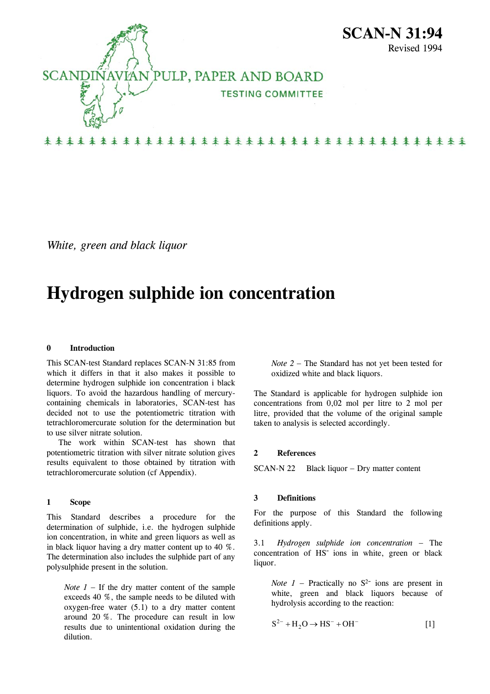

*White, green and black liquor* 

# **Hydrogen sulphide ion concentration**

#### **0 Introduction**

This SCAN-test Standard replaces SCAN-N 31:85 from which it differs in that it also makes it possible to determine hydrogen sulphide ion concentration i black liquors. To avoid the hazardous handling of mercurycontaining chemicals in laboratories, SCAN-test has decided not to use the potentiometric titration with tetrachloromercurate solution for the determination but to use silver nitrate solution.

 The work within SCAN-test has shown that potentiometric titration with silver nitrate solution gives results equivalent to those obtained by titration with tetrachloromercurate solution (cf Appendix).

#### **1 Scope**

This Standard describes a procedure for the determination of sulphide, i.e. the hydrogen sulphide ion concentration, in white and green liquors as well as in black liquor having a dry matter content up to 40 %. The determination also includes the sulphide part of any polysulphide present in the solution.

*Note 1* − If the dry matter content of the sample exceeds 40 %, the sample needs to be diluted with oxygen-free water (5.1) to a dry matter content around 20 %. The procedure can result in low results due to unintentional oxidation during the dilution.

*Note* 2 − The Standard has not yet been tested for oxidized white and black liquors.

The Standard is applicable for hydrogen sulphide ion concentrations from 0,02 mol per litre to 2 mol per litre, provided that the volume of the original sample taken to analysis is selected accordingly.

#### **2 References**

SCAN-N 22 Black liquor − Dry matter content

#### **3 Definitions**

For the purpose of this Standard the following definitions apply.

3.1 *Hydrogen sulphide ion concentration* − The concentration of HS- ions in white, green or black liquor.

*Note 1* − Practically no  $S^{2-}$  ions are present in white, green and black liquors because of hydrolysis according to the reaction:

$$
S^{2-} + H_2O \rightarrow HS^- + OH^-
$$
 [1]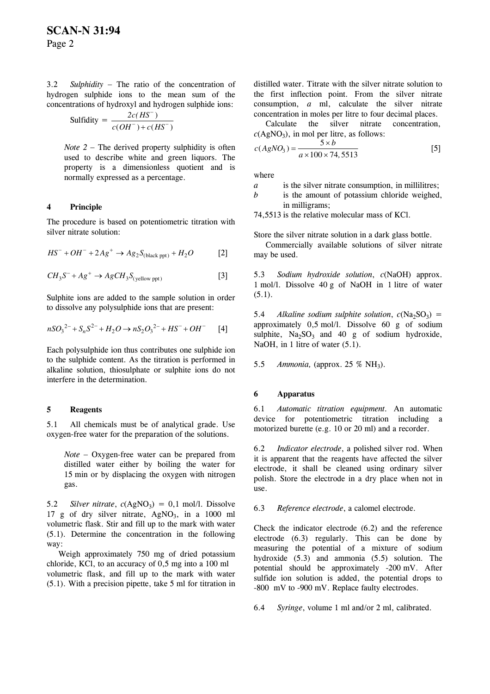3.2 *Sulphidity* − The ratio of the concentration of hydrogen sulphide ions to the mean sum of the concentrations of hydroxyl and hydrogen sulphide ions:

$$
\text{Sulfidity} = \frac{2c(HS^{-})}{c(OH^{-}) + c(HS^{-})}
$$

*Note* 2 − The derived property sulphidity is often used to describe white and green liquors. The property is a dimensionless quotient and is normally expressed as a percentage.

#### **4 Principle**

The procedure is based on potentiometric titration with silver nitrate solution:

$$
HS^{-} + OH^{-} + 2Ag^{+} \rightarrow Ag_{2}S_{\text{(black ppt)}} + H_{2}O
$$
 [2]

$$
CH_3S^{-} + Ag^{+} \rightarrow AgCH_3S_{(yellow\,ppt)} \tag{3}
$$

Sulphite ions are added to the sample solution in order to dissolve any polysulphide ions that are present:

$$
nSO_3^{2-} + S_nS^{2-} + H_2O \to nS_2O_3^{2-} + HS^- + OH^-
$$
 [4]

Each polysulphide ion thus contributes one sulphide ion to the sulphide content. As the titration is performed in alkaline solution, thiosulphate or sulphite ions do not interfere in the determination.

#### **5 Reagents**

5.1 All chemicals must be of analytical grade. Use oxygen-free water for the preparation of the solutions.

*Note* − Oxygen-free water can be prepared from distilled water either by boiling the water for 15 min or by displacing the oxygen with nitrogen gas.

5.2 *Silver nitrate*,  $c(AgNO_3) = 0.1$  mol/l. Dissolve 17 g of dry silver nitrate,  $AgNO<sub>3</sub>$ , in a 1000 ml volumetric flask. Stir and fill up to the mark with water (5.1). Determine the concentration in the following way:

 Weigh approximately 750 mg of dried potassium chloride, KCl, to an accuracy of 0,5 mg into a 100 ml volumetric flask, and fill up to the mark with water (5.1). With a precision pipette, take 5 ml for titration in distilled water. Titrate with the silver nitrate solution to the first inflection point. From the silver nitrate consumption, *a* ml, calculate the silver nitrate concentration in moles per litre to four decimal places.

 Calculate the silver nitrate concentration,  $c(AgNO_3)$ , in mol per litre, as follows:

$$
c(AgNO_3) = \frac{5 \times b}{a \times 100 \times 74,5513}
$$
 [5]

where

- *a* is the silver nitrate consumption, in millilitres;
- *b* is the amount of potassium chloride weighed, in milligrams;

74,5513 is the relative molecular mass of KCl.

Store the silver nitrate solution in a dark glass bottle.

 Commercially available solutions of silver nitrate may be used.

5.3 *Sodium hydroxide solution*, *c*(NaOH) approx. 1 mol/l. Dissolve 40 g of NaOH in 1 litre of water  $(5.1).$ 

5.4 *Alkaline sodium sulphite solution,*  $c(Na_2SO_2)$  *=* approximately 0,5 mol/l. Dissolve 60 g of sodium sulphite,  $Na<sub>2</sub>SO<sub>3</sub>$  and 40 g of sodium hydroxide, NaOH, in 1 litre of water  $(5.1)$ .

5.5 *Ammonia,* (approx. 25 % NH3).

#### **6 Apparatus**

6.1 *Automatic titration equipment.* An automatic device for potentiometric titration including a motorized burette (e.g. 10 or 20 ml) and a recorder.

6.2 *Indicator electrode*, a polished silver rod. When it is apparent that the reagents have affected the silver electrode, it shall be cleaned using ordinary silver polish. Store the electrode in a dry place when not in use.

6.3 *Reference electrode*, a calomel electrode.

Check the indicator electrode (6.2) and the reference electrode (6.3) regularly. This can be done by measuring the potential of a mixture of sodium hydroxide (5.3) and ammonia (5.5) solution. The potential should be approximately -200 mV. After sulfide ion solution is added, the potential drops to -800 mV to -900 mV. Replace faulty electrodes.

6.4 *Syringe*, volume 1 ml and/or 2 ml, calibrated.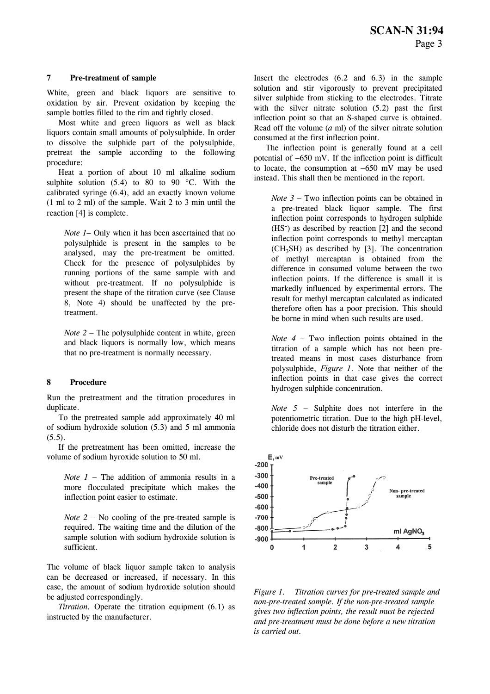#### **7 Pre-treatment of sample**

White, green and black liquors are sensitive to oxidation by air. Prevent oxidation by keeping the sample bottles filled to the rim and tightly closed.

 Most white and green liquors as well as black liquors contain small amounts of polysulphide. In order to dissolve the sulphide part of the polysulphide, pretreat the sample according to the following procedure:

 Heat a portion of about 10 ml alkaline sodium sulphite solution  $(5.4)$  to 80 to 90 °C. With the calibrated syringe (6.4), add an exactly known volume (1 ml to 2 ml) of the sample. Wait 2 to 3 min until the reaction [4] is complete.

*Note 1*− Only when it has been ascertained that no polysulphide is present in the samples to be analysed, may the pre-treatment be omitted. Check for the presence of polysulphides by running portions of the same sample with and without pre-treatment. If no polysulphide is present the shape of the titration curve (see Clause 8, Note 4) should be unaffected by the pretreatment.

*Note* 2 − The polysulphide content in white, green and black liquors is normally low, which means that no pre-treatment is normally necessary.

#### **8 Procedure**

Run the pretreatment and the titration procedures in duplicate.

 To the pretreated sample add approximately 40 ml of sodium hydroxide solution (5.3) and 5 ml ammonia  $(5.5).$ 

 If the pretreatment has been omitted, increase the volume of sodium hyroxide solution to 50 ml.

*Note 1* − The addition of ammonia results in a more flocculated precipitate which makes the inflection point easier to estimate.

*Note* 2 − No cooling of the pre-treated sample is required. The waiting time and the dilution of the sample solution with sodium hydroxide solution is sufficient.

The volume of black liquor sample taken to analysis can be decreased or increased, if necessary. In this case, the amount of sodium hydroxide solution should be adjusted correspondingly.

 *Titration.* Operate the titration equipment (6.1) as instructed by the manufacturer.

Insert the electrodes (6.2 and 6.3) in the sample solution and stir vigorously to prevent precipitated silver sulphide from sticking to the electrodes. Titrate with the silver nitrate solution (5.2) past the first inflection point so that an S-shaped curve is obtained. Read off the volume (*a* ml) of the silver nitrate solution consumed at the first inflection point.

 The inflection point is generally found at a cell potential of −650 mV. If the inflection point is difficult to locate, the consumption at −650 mV may be used instead. This shall then be mentioned in the report.

*Note* 3 − Two inflection points can be obtained in a pre-treated black liquor sample. The first inflection point corresponds to hydrogen sulphide (HS-) as described by reaction [2] and the second inflection point corresponds to methyl mercaptan  $(CH<sub>3</sub>SH)$  as described by [3]. The concentration of methyl mercaptan is obtained from the difference in consumed volume between the two inflection points. If the difference is small it is markedly influenced by experimental errors. The result for methyl mercaptan calculated as indicated therefore often has a poor precision. This should be borne in mind when such results are used.

*Note* 4 − Two inflection points obtained in the titration of a sample which has not been pretreated means in most cases disturbance from polysulphide, *Figure 1*. Note that neither of the inflection points in that case gives the correct hydrogen sulphide concentration.

*Note 5* − Sulphite does not interfere in the potentiometric titration. Due to the high pH-level, chloride does not disturb the titration either.



*Figure 1. Titration curves for pre-treated sample and non-pre-treated sample. If the non-pre-treated sample gives two inflection points, the result must be rejected and pre-treatment must be done before a new titration is carried out.*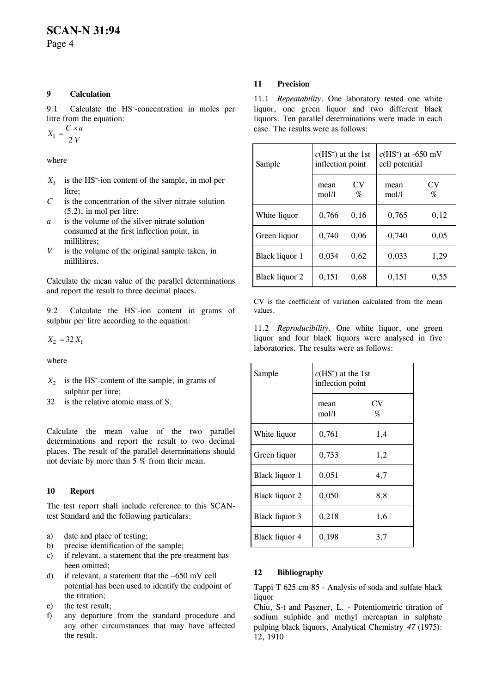Page 4

9.1 Calculate the HS--concentration in moles per litre from the equation:

$$
X_1 = \frac{C \times a}{2 V}
$$

where

- $X_1$  is the HS<sup>-</sup>-ion content of the sample, in mol per litre;
- *C* is the concentration of the silver nitrate solution (5.2), in mol per litre;
- *a* is the volume of the silver nitrate solution consumed at the first inflection point, in millilitres;
- *V* is the volume of the original sample taken, in millilitres.

Calculate the mean value of the parallel determinations and report the result to three decimal places.

9.2 Calculate the HS<sup>-</sup>-ion content in grams of values.

 $X_2 = 32 X_1$ 

where

- $X_2$  is the HS<sup>-</sup>-content of the sample, in grams of sulphur per litre;
- 32 is the relative atomic mass of S.

Calculate the mean value of the two parallel determinations and report the result to two decimal places. The result of the parallel determinations should not deviate by more than 5 % from their mean.

## **10 Report**

The test report shall include reference to this SCANtest Standard and the following particulars:

- a) date and place of testing;
- b) precise identification of the sample;
- c) if relevant, a statement that the pre-treatment has been omitted; **12 Bibliography** d) if relevant, a statement that the −650 mV cell
- potential has been used to identify the endpoint of the titration;
- 
- f) any departure from the standard procedure and any other circumstances that may have affected the result.

## **11 Precision**

**9 Calculation** 11.1 *Repeatability*. One laboratory tested one white liquor, one green liquor and two different black liquors. Ten parallel determinations were made in each case. The results were as follows:

| Sample         | $c$ (HS <sup>-</sup> ) at the 1st<br>inflection point |                | $c$ (HS <sup>-</sup> ) at -650 mV<br>cell potential |         |
|----------------|-------------------------------------------------------|----------------|-----------------------------------------------------|---------|
|                | mean<br>mol/l                                         | <b>CV</b><br>% | mean<br>mol/l                                       | CV<br>% |
| White liquor   | 0,766                                                 | 0,16           | 0,765                                               | 0,12    |
| Green liquor   | 0.740                                                 | 0.06           | 0,740                                               | 0,05    |
| Black liquor 1 | 0.034                                                 | 0.62           | 0,033                                               | 1,29    |
| Black liquor 2 | 0.151                                                 | 0.68           | 0,151                                               | 0,55    |

CV is the coefficient of variation calculated from the mean

sulphur per litre according to the equation: 11.2 *Reproducibility*. One white liquor, one green liquor and four black liquors were analysed in five laboratories. The results were as follows:

| Sample         | $c$ (HS <sup>-</sup> ) at the 1st<br>inflection point |         |  |
|----------------|-------------------------------------------------------|---------|--|
|                | mean<br>mol/l                                         | CV<br>% |  |
| White liquor   | 0,761                                                 | 1,4     |  |
| Green liquor   | 0,733                                                 | 1,2     |  |
| Black liquor 1 | 0,051                                                 | 4,7     |  |
| Black liquor 2 | 0,050                                                 | 8,8     |  |
| Black liquor 3 | 0,218                                                 | 1,6     |  |
| Black liquor 4 | 0,198                                                 | 3,7     |  |

Tappi T 625 cm-85 - Analysis of soda and sulfate black liquor

e) the test result; Chiu, S-t and Paszner, L. - Potentiometric titration of sodium sulphide and methyl mercaptan in sulphate pulping black liquors, Analytical Chemistry *47* (1975): 12, 1910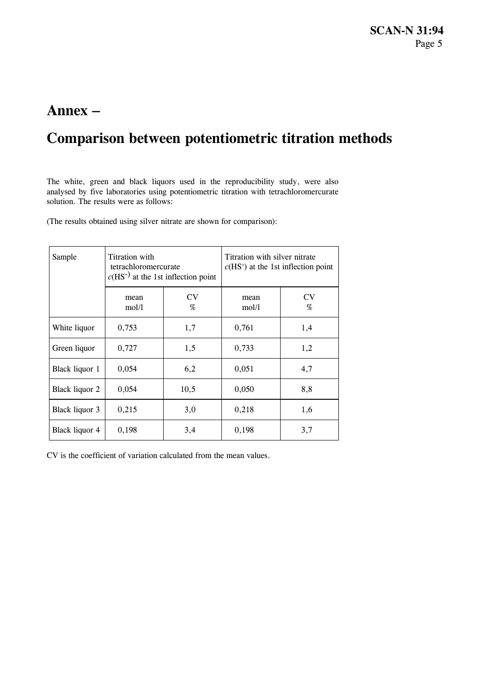## **Annex** −

# **Comparison between potentiometric titration methods**

The white, green and black liquors used in the reproducibility study, were also analysed by five laboratories using potentiometric titration with tetrachloromercurate solution. The results were as follows:

(The results obtained using silver nitrate are shown for comparison):

| Sample         | Titration with<br>tetrachloromercurate<br>$c(HS-)$ at the 1st inflection point |          | Titration with silver nitrate<br>$c$ (HS <sup>-</sup> ) at the 1st inflection point |                |
|----------------|--------------------------------------------------------------------------------|----------|-------------------------------------------------------------------------------------|----------------|
|                | mean<br>mol/l                                                                  | CV.<br>% | mean<br>mol/l                                                                       | <b>CV</b><br>% |
| White liquor   | 0,753                                                                          | 1,7      | 0,761                                                                               | 1,4            |
| Green liquor   | 0,727                                                                          | 1,5      | 0,733                                                                               | 1,2            |
| Black liquor 1 | 0,054                                                                          | 6,2      | 0,051                                                                               | 4,7            |
| Black liquor 2 | 0,054                                                                          | 10,5     | 0,050                                                                               | 8,8            |
| Black liquor 3 | 0,215                                                                          | 3,0      | 0,218                                                                               | 1,6            |
| Black liquor 4 | 0,198                                                                          | 3,4      | 0,198                                                                               | 3,7            |

CV is the coefficient of variation calculated from the mean values.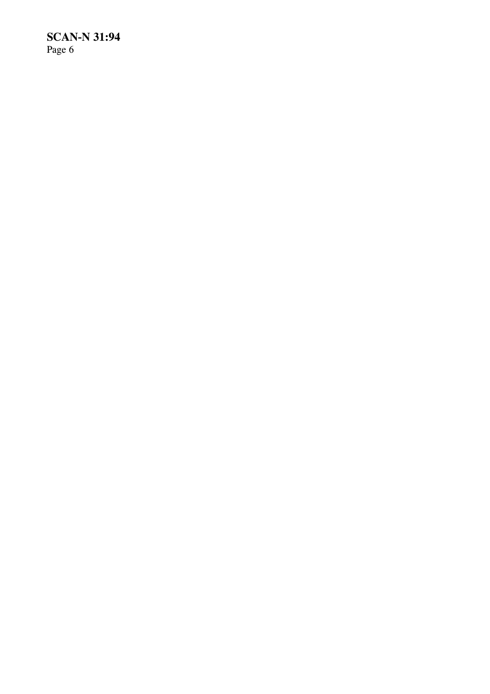**SCAN-N 31:94**  Page 6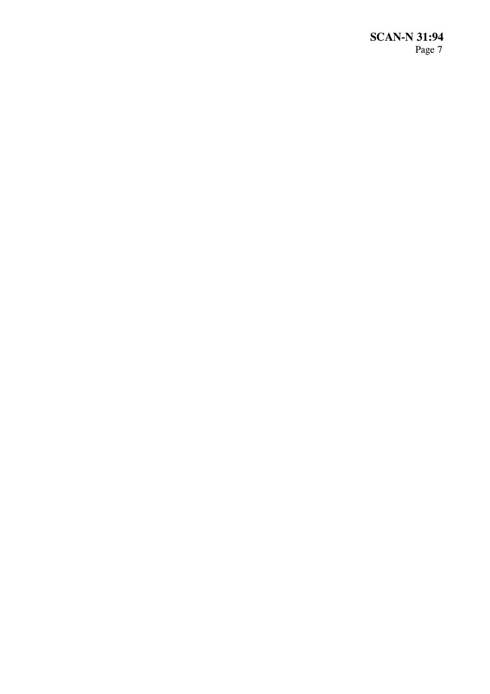**SCAN-N 31:94** Page 7